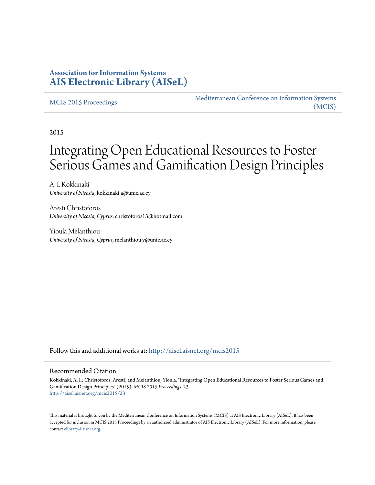### **Association for Information Systems [AIS Electronic Library \(AISeL\)](http://aisel.aisnet.org?utm_source=aisel.aisnet.org%2Fmcis2015%2F23&utm_medium=PDF&utm_campaign=PDFCoverPages)**

#### [MCIS 2015 Proceedings](http://aisel.aisnet.org/mcis2015?utm_source=aisel.aisnet.org%2Fmcis2015%2F23&utm_medium=PDF&utm_campaign=PDFCoverPages)

[Mediterranean Conference on Information Systems](http://aisel.aisnet.org/mcis?utm_source=aisel.aisnet.org%2Fmcis2015%2F23&utm_medium=PDF&utm_campaign=PDFCoverPages) [\(MCIS\)](http://aisel.aisnet.org/mcis?utm_source=aisel.aisnet.org%2Fmcis2015%2F23&utm_medium=PDF&utm_campaign=PDFCoverPages)

2015

# Integrating Open Educational Resources to Foster Serious Games and Gamification Design Principles

A. I. Kokkinaki *University of Nicosia*, kokkinaki.a@unic.ac.cy

Aresti Christoforos *University of Nicosia, Cyprus*, christoforos13@hotmail.com

Yioula Melanthiou *University of Nicosia, Cyprus*, melanthiou.y@unic.ac.cy

Follow this and additional works at: [http://aisel.aisnet.org/mcis2015](http://aisel.aisnet.org/mcis2015?utm_source=aisel.aisnet.org%2Fmcis2015%2F23&utm_medium=PDF&utm_campaign=PDFCoverPages)

#### Recommended Citation

Kokkinaki, A. I.; Christoforos, Aresti; and Melanthiou, Yioula, "Integrating Open Educational Resources to Foster Serious Games and Gamification Design Principles" (2015). *MCIS 2015 Proceedings*. 23. [http://aisel.aisnet.org/mcis2015/23](http://aisel.aisnet.org/mcis2015/23?utm_source=aisel.aisnet.org%2Fmcis2015%2F23&utm_medium=PDF&utm_campaign=PDFCoverPages)

This material is brought to you by the Mediterranean Conference on Information Systems (MCIS) at AIS Electronic Library (AISeL). It has been accepted for inclusion in MCIS 2015 Proceedings by an authorized administrator of AIS Electronic Library (AISeL). For more information, please contact [elibrary@aisnet.org.](mailto:elibrary@aisnet.org%3E)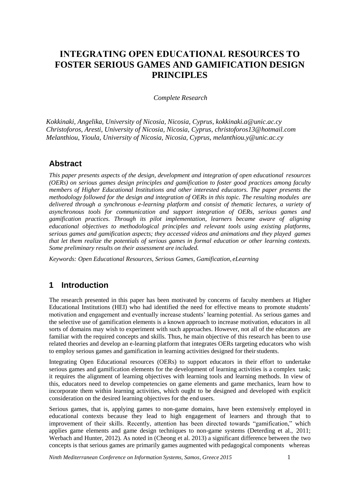# **ΙNTEGRATING OPEN EDUCATIONAL RESOURCES TO FOSTER SERIOUS GAMES AND GAMIFICATION DESIGN PRINCIPLES**

#### *Complete Research*

*Kokkinaki, Angelika, University of Nicosia, Nicosia, Cyprus, kokkinaki.a@unic.ac.cy Christoforos, Aresti, University of Nicosia, Nicosia, Cyprus, christoforos13@hotmail.com Melanthiou, Yioula, University of Nicosia, Nicosia, Cyprus, melanthiou.y@unic.ac.cy*

#### **Abstract**

*This paper presents aspects of the design, development and integration of open educational resources (OERs) on serious games design principles and gamification to foster good practices among faculty members of Higher Educational Institutions and other interested educators. The paper presents the methodology followed for the design and integration of OERs in this topic. The resulting modules are delivered through a synchronous e-learning platform and consist of thematic lectures, a variety of asynchronous tools for communication and support integration of OERs, serious games and gamification practices. Through its pilot implementation, learners became aware of aligning educational objectives to methodological principles and relevant tools using existing platforms, serious games and gamification aspects; they accessed videos and animations and they played games that let them realize the potentials of serious games in formal education or other learning contexts. Some preliminary results on their assessment are included.*

*Keywords: Open Educational Resources, Serious Games, Gamification, eLearning*

### **1 Introduction**

The research presented in this paper has been motivated by concerns of faculty members at Higher Educational Institutions (HEI) who had identified the need for effective means to promote students' motivation and engagement and eventually increase students' learning potential. As serious games and the selective use of gamification elements is a known approach to increase motivation, educators in all sorts of domains may wish to experiment with such approaches. However, not all of the educators are familiar with the required concepts and skills. Thus, he main objective of this research has been to use related theories and develop an e-learning platform that integrates OERs targeting educators who wish to employ serious games and gamification in learning activities designed for their students.

Integrating Open Educational resources (OERs) to support educators in their effort to undertake serious games and gamification elements for the development of learning activities is a complex task; it requires the alignment of learning objectives with learning tools and learning methods. In view of this, educators need to develop competencies on game elements and game mechanics, learn how to incorporate them within learning activities, which ought to be designed and developed with explicit consideration on the desired learning objectives for the end users.

Serious games, that is, applying games to non-game domains, have been extensively employed in educational contexts because they lead to high engagement of learners and through that to improvement of their skills. Recently, attention has been directed towards "gamification," which applies game elements and game design techniques to non-game systems (Deterding et al., 2011; Werbach and Hunter, 2012). As noted in (Cheong et al. 2013) a significant difference between the two concepts is that serious games are primarily games augmented with pedagogical components whereas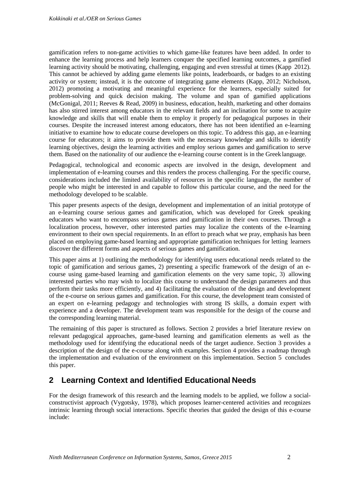gamification refers to non-game activities to which game-like features have been added. In order to enhance the learning process and help learners conquer the specified learning outcomes, a gamified learning activity should be motivating, challenging, engaging and even stressful at times (Kapp 2012). This cannot be achieved by adding game elements like points, leaderboards, or badges to an existing activity or system; instead, it is the outcome of integrating game elements (Kapp, 2012; Nicholson, 2012) promoting a motivating and meaningful experience for the learners, especially suited for problem-solving and quick decision making. The volume and span of gamified applications (McGonigal, 2011; Reeves & Read, 2009) in business, education, health, marketing and other domains has also stirred interest among educators in the relevant fields and an inclination for some to acquire knowledge and skills that will enable them to employ it properly for pedagogical purposes in their courses. Despite the increased interest among educators, there has not been identified an e-learning initiative to examine how to educate course developers on this topic. To address this gap, an e-learning course for educators; it aims to provide them with the necessary knowledge and skills to identify learning objectives, design the learning activities and employ serious games and gamification to serve them. Based on the nationality of our audience the e-learning course content is in the Greek language.

Pedagogical, technological and economic aspects are involved in the design, development and implementation of e-learning courses and this renders the process challenging. For the specific course, considerations included the limited availability of resources in the specific language, the number of people who might be interested in and capable to follow this particular course, and the need for the methodology developed to be scalable.

This paper presents aspects of the design, development and implementation of an initial prototype of an e-learning course serious games and gamification, which was developed for Greek speaking educators who want to encompass serious games and gamification in their own courses. Through a localization process, however, other interested parties may localize the contents of the e-learning environment to their own special requirements. In an effort to preach what we pray, emphasis has been placed on employing game-based learning and appropriate gamification techniques for letting learners discover the different forms and aspects of serious games and gamification.

This paper aims at 1) outlining the methodology for identifying users educational needs related to the topic of gamification and serious games, 2) presenting a specific framework of the design of an ecourse using game-based learning and gamification elements on the very same topic, 3) allowing interested parties who may wish to localize this course to understand the design parameters and thus perform their tasks more efficiently, and 4) facilitating the evaluation of the design and development of the e-course on serious games and gamification. For this course, the development team consisted of an expert on e-learning pedagogy and technologies with strong IS skills, a domain expert with experience and a developer. The development team was responsible for the design of the course and the corresponding learning material.

The remaining of this paper is structured as follows. Section 2 provides a brief literature review on relevant pedagogical approaches, game-based learning and gamification elements as well as the methodology used for identifying the educational needs of the target audience. Section 3 provides a description of the design of the e-course along with examples. Section 4 provides a roadmap through the implementation and evaluation of the environment on this implementation. Section 5 concludes this paper.

# **2 Learning Context and Identified Educational Needs**

For the design framework of this research and the learning models to be applied, we follow a socialconstructivist approach (Vygotsky, 1978), which proposes learner-centered activities and recognizes intrinsic learning through social interactions. Specific theories that guided the design of this e-course include: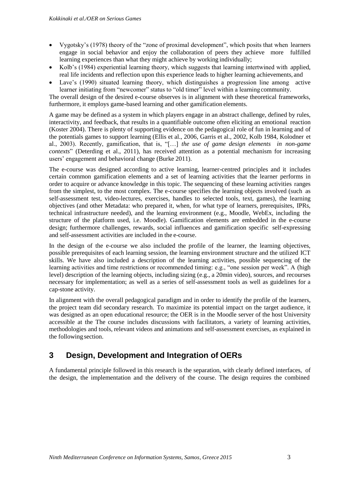- Vygotsky's (1978) theory of the "zone of proximal development", which posits that when learners engage in social behavior and enjoy the collaboration of peers they achieve more fulfilled learning experiences than what they might achieve by working individually;
- Kolb's (1984) experiential learning theory, which suggests that learning intertwined with applied, real life incidents and reflection upon this experience leads to higher learning achievements, and
- Lave's (1990) situated learning theory, which distinguishes a progression line among active learner initiating from "newcomer" status to "old timer" level within a learning community.

The overall design of the desired e-course observes is in alignment with these theoretical frameworks, furthermore, it employs game-based learning and other gamification elements.

A game may be defined as a system in which players engage in an abstract challenge, defined by rules, interactivity, and feedback, that results in a quantifiable outcome often eliciting an emotional reaction (Koster 2004). There is plenty of supporting evidence on the pedagogical role of fun in learning and of the potentials games to support learning (Ellis et al., 2006, Garris et al., 2002, Kolb 1984, Kolodner et al., 2003). Recently, gamification, that is, "[…] *the use of game design elements in non-game contexts*" (Deterding et al., 2011), has received attention as a potential mechanism for increasing users' engagement and behavioral change (Burke 2011).

The e-course was designed according to active learning, learner-centred principles and it includes certain common gamification elements and a set of learning activities that the learner performs in order to acquire or advance knowledge in this topic. The sequencing of these learning activities ranges from the simplest, to the most complex. The e-course specifies the learning objects involved (such as self-assessment test, video-lectures, exercises, handles to selected tools, text, games), the learning objectives (and other Metadata: who prepared it, when, for what type of learners, prerequisites, IPRs, technical infrastructure needed), and the learning environment (e.g., Moodle, WebEx, including the structure of the platform used, i.e. Moodle). Gamification elements are embedded in the e-course design; furthermore challenges, rewards, social influences and gamification specific self-expressing and self-assessment activities are included in the e-course.

In the design of the e-course we also included the profile of the learner, the learning objectives, possible prerequisites of each learning session, the learning environment structure and the utilized ICT skills. We have also included a description of the learning activities, possible sequencing of the learning activities and time restrictions or recommended timing: e.g., "one session per week". A (high level) description of the learning objects, including sizing (e.g., a 20min video), sources, and recourses necessary for implementation; as well as a series of self-assessment tools as well as guidelines for a cap-stone activity.

In alignment with the overall pedagogical paradigm and in order to identify the profile of the learners, the project team did secondary research. To maximize its potential impact on the target audience, it was designed as an open educational resource; the OER is in the Moodle server of the host University accessible at the The course includes discussions with facilitators, a variety of learning activities, methodologies and tools, relevant videos and animations and self-assessment exercises, as explained in the following section.

# **3 Design, Development and Integration of OERs**

A fundamental principle followed in this research is the separation, with clearly defined interfaces, of the design, the implementation and the delivery of the course. The design requires the combined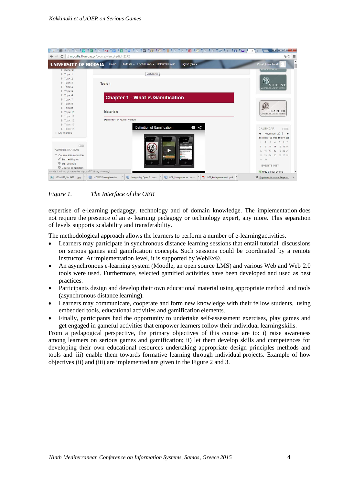| $\mathbf{C}$                                               | moodle.lll.unic.ac.cy/course/view.php?id=2172                      | <b>FI</b><br>$-25$                           |
|------------------------------------------------------------|--------------------------------------------------------------------|----------------------------------------------|
| UNIVERSITY OF NICOSIA                                      | Students - Useful Links - Helpdesk Hours<br>English (en) +<br>Home | Christoforos Aresti                          |
| General                                                    | Useful Links                                                       | HOW TO USE IT                                |
| Topic 1<br>$\triangleright$ Topic 2                        |                                                                    |                                              |
| Topic 3                                                    |                                                                    |                                              |
| $\triangleright$ Topic 4                                   | <b>Topic 1</b>                                                     | STUDENT                                      |
| $\triangleright$ Topic 5                                   |                                                                    | <b>MOODLE TRAINING VIDEOS</b>                |
| $F$ Topic 6                                                |                                                                    |                                              |
| Topic 7                                                    | <b>Chapter 1 - What is Gamification</b>                            |                                              |
| Topic 8                                                    |                                                                    |                                              |
| Topic 9                                                    |                                                                    |                                              |
| Topic 10                                                   | <b>Materials</b>                                                   | <b>TEACHER</b><br>MOODLE TRAINING VIDEOS     |
| Topic 11                                                   |                                                                    |                                              |
| $\triangleright$ Topic 12                                  | <b>Definition of Gamification</b>                                  |                                              |
| $\triangleright$ Topic 13                                  | $\bullet$ <<br><b>Definition of Gamification</b>                   |                                              |
| $\triangleright$ Topic 14                                  |                                                                    | CALENDAR<br>同同                               |
| My courses                                                 |                                                                    | November 2015 $\blacktriangleright$<br>◀     |
|                                                            |                                                                    | Sun Mon Tue Wed Thu Fri Sat                  |
| 回回                                                         |                                                                    | 2 3 4 5 6 7                                  |
| <b>ADMINISTRATION</b>                                      |                                                                    | 10 11 12 13 14<br>$\mathcal{G}$<br>15        |
| Course administration                                      |                                                                    | 16 17 18 19 20 21<br>22<br>23 24 25 26 27 28 |
| Turn editing on                                            | ZOMBIES<br>RUNI<br>$1 - 11 - 1$                                    | 29 30                                        |
| <b>Edit settings</b>                                       |                                                                    |                                              |
| 章 Course completion                                        |                                                                    | <b>EVENTS KEY</b>                            |
| moodle.lll.unic.ac.cy/course/view.php?id=2172#cm_submenu_2 |                                                                    | Hide global events                           |

#### *Figure 1. The Interface of the OER*

expertise of e-learning pedagogy, technology and of domain knowledge. The implementation does not require the presence of an e- learning pedagogy or technology expert, any more. This separation of levels supports scalability and transferability.

The methodological approach allows the learners to perform a number of e-learningactivities.

- Learners may participate in synchronous distance learning sessions that entail tutorial discussions on serious games and gamification concepts. Such sessions could be coordinated by a remote instructor. At implementation level, it is supported by WebEx®.
- An asynchronous e-learning system (Moodle, an open source LMS) and various Web and Web 2.0 tools were used. Furthermore, selected gamified activities have been developed and used as best practices.
- Participants design and develop their own educational material using appropriate method and tools (asynchronous distance learning).
- Learners may communicate, cooperate and form new knowledge with their fellow students, using embedded tools, educational activities and gamification elements.
- Finally, participants had the opportunity to undertake self-assessment exercises, play games and get engaged in gameful activities that empower learners follow their individual learningskills.

From a pedagogical perspective, the primary objectives of this course are to: i) raise awareness among learners on serious games and gamification; ii) let them develop skills and competences for developing their own educational resources undertaking appropriate design principles methods and tools and iii) enable them towards formative learning through individual projects. Example of how objectives (ii) and (iii) are implemented are given in the Figure 2 and 3.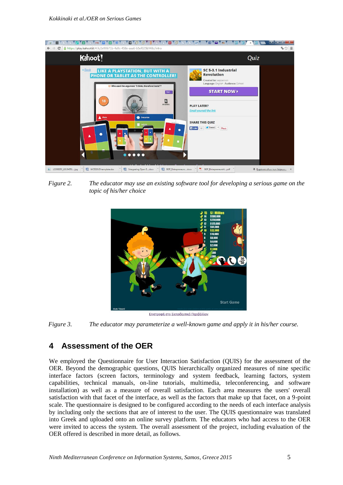

*Figure 2. The educator may use an existing software tool for developing a serious game on the topic of his/her choice*



*Figure 3. The educator may parameterize a well-known game and apply it in his/her course.* 

# **4 Assessment of the OER**

We employed the Questionnaire for User Interaction Satisfaction (QUIS) for the assessment of the OER. Beyond the demographic questions, QUIS hierarchically organized measures of nine specific interface factors (screen factors, terminology and system feedback, learning factors, system capabilities, technical manuals, on-line tutorials, multimedia, teleconferencing, and software installation) as well as a measure of overall satisfaction. Each area measures the users' overall satisfaction with that facet of the interface, as well as the factors that make up that facet, on a 9-point scale. The questionnaire is designed to be configured according to the needs of each interface analysis by including only the sections that are of interest to the user. The QUIS questionnaire was translated into Greek and uploaded onto an online survey platform. The educators who had access to the OER were invited to access the system. The overall assessment of the project, including evaluation of the OER offered is described in more detail, as follows.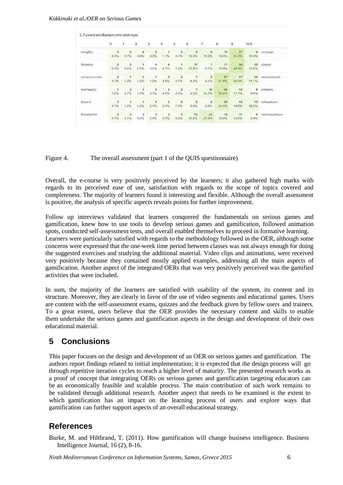|               | 0                               | 1                      | $\overline{c}$       | 3                      | 4                               | 5                      | 6                       | $\overline{7}$          | 8           | $\overline{9}$ | N/A         |               |
|---------------|---------------------------------|------------------------|----------------------|------------------------|---------------------------------|------------------------|-------------------------|-------------------------|-------------|----------------|-------------|---------------|
| απεχθές       | $\overline{2}$<br>2.3%          | 5<br>5.7%              | 4<br>4.6%            | $\overline{2}$<br>2.3% | 1<br>1.1%                       | 3<br>3.4%              | $\overline{9}$<br>10.3% | $\overline{9}$<br>10.3% | 16<br>18.4% | 27<br>31.0%    | 9<br>10.3%  | υπέροχο       |
| δύσκολο       | $\overline{2}$<br>2.3%          | 3<br>3.5%              | 1<br>1.2%            | $\mathbf 0$<br>0.0%    | $\overline{4}$<br>4.7%          | $\mathbf{1}$<br>1.2%   | 11<br>12.8%             | $\overline{7}$<br>8.1%  | 17<br>19.8% | 30<br>34.9%    | 10<br>11.6% | εύκολο        |
| απογοητευτικό | 4<br>4.7%                       | $\overline{1}$<br>1.2% | 1<br>1.2%            | $\mathbf{1}$<br>1.2%   | 3<br>3.5%                       | $\overline{4}$<br>4.7% | $\overline{7}$<br>8.2%  | 8<br>9.4%               | 27<br>31.8% | 17<br>20.0%    | 12<br>14.1% | ικανοποιητικό |
| ανεπαρκές     | 1<br>1.2%                       | 3<br>3.7%              | 1<br>1.2%            | 3<br>3.7%              | $\overline{4}$<br>4.9%          | $\overline{2}$<br>2.4% | $\overline{7}$<br>8.5%  | 10<br>12.2%             | 29<br>35.4% | 14<br>17.1%    | 8<br>9.8%   | επαρκές       |
| βαρετό        | $\overline{\mathbf{3}}$<br>3.7% | $\mathbf{1}$<br>1.2%   | $\mathbf{1}$<br>1.2% | $\overline{2}$<br>2.4% | $\overline{\mathbf{z}}$<br>2.4% | 6<br>7.3%              | $^{\rm 8}$<br>9.8%      | 8<br>9.8%               | 20<br>24.4% | 16<br>19.5%    | 15<br>18.3% | ενδιαφέρον    |
| δύσκαμπτο     | 3<br>3.7%                       | $\mathbf{3}$<br>3.7%   | $\mathbf 0$<br>0.0%  | $\overline{2}$<br>2.5% | $\overline{2}$<br>2.5%          | 5<br>6.2%              | 13<br>16.0%             | 22<br>27.2%             | 16<br>19.8% | 11<br>13.6%    | 4<br>4.9%   | προσαρμόσιμο  |

#### Figure 4. The overall assessment (part 1 of the QUIS questionnaire)

Overall, the e-course is very positively perceived by the learners; it also gathered high marks with regards to its perceived ease of use, satisfaction with regards to the scope of topics covered and completeness. The majority of learners found it interesting and flexible. Although the overall assessment is positive, the analysis of specific aspects reveals points for further improvement.

Follow up interviews validated that learners conquered the fundamentals on serious games and gamification, knew how to use tools to develop serious games and gamification, followed animation spots, conducted self-assessment tests, and overall enabled themselves to proceed in formative learning. Learners were particularly satisfied with regards to the methodology followed in the OER, although some concerns were expressed that the one-week time period between classes was not always enough for doing the suggested exercises and studying the additional material. Video clips and animations, were received very positively because they contained mostly applied examples, addressing all the main aspects of gamification. Another aspect of the integrated OERs that was very positively perceived was the gamified activities that were included.

In sum, the majority of the learners are satisfied with usability of the system, its content and its structure. Moreover, they are clearly in favor of the use of video segments and educational games. Users are content with the self-assessment exams, quizzes and the feedback given by fellow users and trainers. To a great extent, users believe that the OER provides the necessary content and skills to enable them undertake the serious games and gamification aspects in the design and development of their own educational material.

# **5 Conclusions**

This paper focuses on the design and development of an OER on serious games and gamification. The authors report findings related to initial implementation; it is expected that the design process will go through repetitive iteration cycles to reach a higher level of maturity. The presented research works as a proof of concept that integrating OERs on serious games and gamification targeting educators can be an economically feasible and scalable process. The main contribution of such work remains to be validated through additional research. Another aspect that needs to be examined is the extent to which gamification has an impact on the learning process of users and explore ways that gamification can further support aspects of an overall educationalstrategy.

### **References**

Burke, M. and Hiltbrand, T. (2011). How gamification will change business intelligence. Business Intelligence Journal, 16 (2), 8-16.